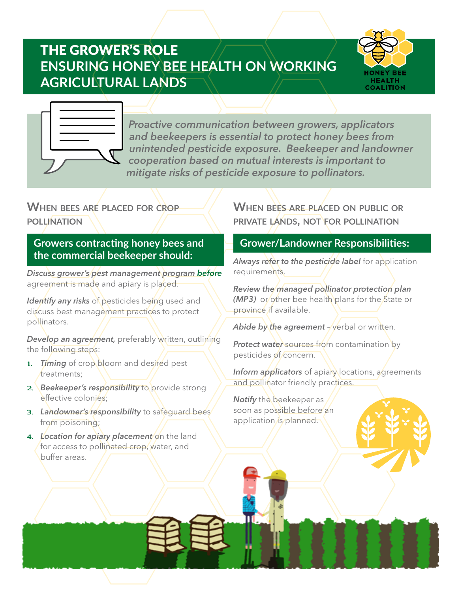# THE GROWER'S ROLE **ENSURING HONEY BEE HEALTH ON WORKING AGRICULTURAL LANDS**





*Proactive communication between growers, applicators and beekeepers is essential to protect honey bees from unintended pesticide exposure. Beekeeper and landowner cooperation based on mutual interests is important to mitigate risks of pesticide exposure to pollinators.*

# **When bees are placed for crop pollination**

**Growers contracting honey bees and the commercial beekeeper should:**

*Discuss grower's pest management program before*  agreement is made and apiary is placed.

*Identify any risks* of pesticides being used and discuss best management practices to protect pollinators.

**Develop an agreement,** preferably written, outlining the following steps:

- 1. *Timing* of crop bloom and desired pest treatments;
- 2. *Beekeeper's responsibility* to provide strong effective colonies;
- 3. *Landowner's responsibility* to safeguard bees from poisoning;
- 4. Location for apiary placement on the land for access to pollinated crop, water, and buffer areas.

# **When bees are placed on public or private lands, not for pollination**

## **Grower/Landowner Responsibilities:**

*Always refer to the pesticide label* for application requirements.

*Review the managed pollinator protection plan (MP3)* or other bee health plans for the State or province if available.

Abide by the agreement - verbal or written.

*Protect water* sources from contamination by pesticides of concern.

*Inform applicators* of apiary locations, agreements and pollinator friendly practices.

*Notify* the beekeeper as soon as possible before an application is planned.